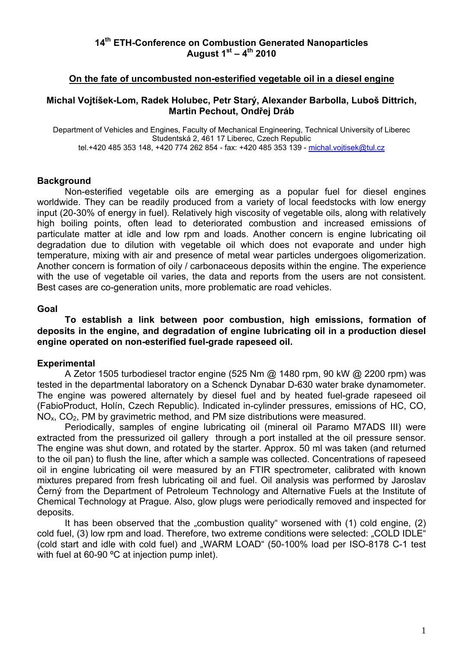### **14th ETH-Conference on Combustion Generated Nanoparticles August 1st – 4th 2010**

### **On the fate of uncombusted non-esterified vegetable oil in a diesel engine**

### **Michal Vojtíšek-Lom, Radek Holubec, Petr Starý, Alexander Barbolla, Luboš Dittrich, Martin Pechout, Ondřej Dráb**

Department of Vehicles and Engines, Faculty of Mechanical Engineering, Technical University of Liberec Studentská 2, 461 17 Liberec, Czech Republic tel.+420 485 353 148, +420 774 262 854 - fax: +420 485 353 139 - [michal.vojtisek@tul.cz](mailto:michal.vojtisek@tul.cz)

#### **Background**

 Non-esterified vegetable oils are emerging as a popular fuel for diesel engines worldwide. They can be readily produced from a variety of local feedstocks with low energy input (20-30% of energy in fuel). Relatively high viscosity of vegetable oils, along with relatively high boiling points, often lead to deteriorated combustion and increased emissions of particulate matter at idle and low rpm and loads. Another concern is engine lubricating oil degradation due to dilution with vegetable oil which does not evaporate and under high temperature, mixing with air and presence of metal wear particles undergoes oligomerization. Another concern is formation of oily / carbonaceous deposits within the engine. The experience with the use of vegetable oil varies, the data and reports from the users are not consistent. Best cases are co-generation units, more problematic are road vehicles.

#### **Goal**

**To establish a link between poor combustion, high emissions, formation of deposits in the engine, and degradation of engine lubricating oil in a production diesel engine operated on non-esterified fuel-grade rapeseed oil.** 

#### **Experimental**

A Zetor 1505 turbodiesel tractor engine (525 Nm @ 1480 rpm, 90 kW @ 2200 rpm) was tested in the departmental laboratory on a Schenck Dynabar D-630 water brake dynamometer. The engine was powered alternately by diesel fuel and by heated fuel-grade rapeseed oil (FabioProduct, Holín, Czech Republic). Indicated in-cylinder pressures, emissions of HC, CO,  $NO<sub>x</sub>$ ,  $CO<sub>2</sub>$ , PM by gravimetric method, and PM size distributions were measured.

Periodically, samples of engine lubricating oil (mineral oil Paramo M7ADS III) were extracted from the pressurized oil gallery through a port installed at the oil pressure sensor. The engine was shut down, and rotated by the starter. Approx. 50 ml was taken (and returned to the oil pan) to flush the line, after which a sample was collected. Concentrations of rapeseed oil in engine lubricating oil were measured by an FTIR spectrometer, calibrated with known mixtures prepared from fresh lubricating oil and fuel. Oil analysis was performed by Jaroslav Černý from the Department of Petroleum Technology and Alternative Fuels at the Institute of Chemical Technology at Prague. Also, glow plugs were periodically removed and inspected for deposits.

It has been observed that the "combustion quality" worsened with  $(1)$  cold engine,  $(2)$ cold fuel, (3) low rpm and load. Therefore, two extreme conditions were selected: "COLD IDLE" (cold start and idle with cold fuel) and "WARM LOAD" (50-100% load per ISO-8178 C-1 test with fuel at 60-90 °C at injection pump inlet).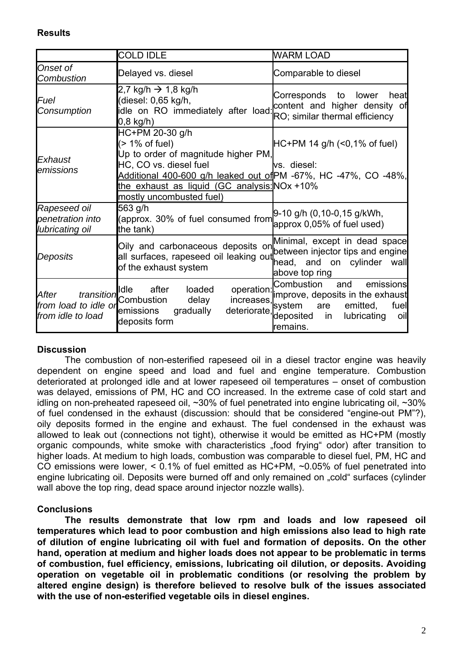### **Results**

|                                                                  | <b>COLD IDLE</b>                                                                                                                                                                                                                                      | <b>WARM LOAD</b>                                                                                                                                                             |
|------------------------------------------------------------------|-------------------------------------------------------------------------------------------------------------------------------------------------------------------------------------------------------------------------------------------------------|------------------------------------------------------------------------------------------------------------------------------------------------------------------------------|
| Onset of<br><b>Combustion</b>                                    | Delayed vs. diesel                                                                                                                                                                                                                                    | Comparable to diesel                                                                                                                                                         |
| Fuel<br>Consumption                                              | 2,7 kg/h $\rightarrow$ 1,8 kg/h<br>(diesel: 0,65 kg/h,<br>idle on RO immediately after load: content and higher density of<br>$0,8$ kg/h)                                                                                                             | Corresponds to lower<br>heat<br>RO; similar thermal efficiency                                                                                                               |
| Exhaust<br>emissions                                             | HC+PM 20-30 g/h<br>$($ > 1% of fuel)<br>Up to order of magnitude higher PM,<br>HC, CO vs. diesel fuel<br>Additional 400-600 g/h leaked out of PM -67%, HC -47%, CO -48%,<br>the exhaust as liquid (GC analysis: NOx +10%)<br>mostly uncombusted fuel) | $HC+PM$ 14 g/h (<0,1% of fuel)<br>vs. diesel:                                                                                                                                |
| Rapeseed oil<br>penetration into<br>lubricating oil              | 563 g/h<br>(approx. 30% of fuel consumed from<br>the tank)                                                                                                                                                                                            | 9-10 g/h (0,10-0,15 g/kWh,<br>approx 0,05% of fuel used)                                                                                                                     |
| Deposits                                                         | Oily and carbonaceous deposits on between injector tips and engine<br>all surfaces, rapeseed oil leaking out<br>of the exhaust system                                                                                                                 | Minimal, except in dead space<br>head, and on cylinder wall<br>above top ring                                                                                                |
| transition<br>After<br>from load to idle or<br>from idle to load | Idle after<br>loaded<br>Combustion<br>delay<br>deteriorate,<br>emissions<br>gradually<br>deposits form                                                                                                                                                | Combustion<br>emissions<br>and<br>operation: improve, deposits in the exhaust<br>increases,""" system are emitted,<br>fuel<br>deposited in<br>lubricating<br>oil<br>remains. |

### **Discussion**

The combustion of non-esterified rapeseed oil in a diesel tractor engine was heavily dependent on engine speed and load and fuel and engine temperature. Combustion deteriorated at prolonged idle and at lower rapeseed oil temperatures – onset of combustion was delayed, emissions of PM, HC and CO increased. In the extreme case of cold start and idling on non-preheated rapeseed oil, ~30% of fuel penetrated into engine lubricating oil, ~30% of fuel condensed in the exhaust (discussion: should that be considered "engine-out PM"?), oily deposits formed in the engine and exhaust. The fuel condensed in the exhaust was allowed to leak out (connections not tight), otherwise it would be emitted as HC+PM (mostly organic compounds, white smoke with characteristics "food frying" odor) after transition to higher loads. At medium to high loads, combustion was comparable to diesel fuel, PM, HC and CO emissions were lower, < 0.1% of fuel emitted as HC+PM, ~0.05% of fuel penetrated into engine lubricating oil. Deposits were burned off and only remained on ..cold" surfaces (cylinder wall above the top ring, dead space around injector nozzle walls).

### **Conclusions**

**The results demonstrate that low rpm and loads and low rapeseed oil temperatures which lead to poor combustion and high emissions also lead to high rate of dilution of engine lubricating oil with fuel and formation of deposits. On the other hand, operation at medium and higher loads does not appear to be problematic in terms of combustion, fuel efficiency, emissions, lubricating oil dilution, or deposits. Avoiding operation on vegetable oil in problematic conditions (or resolving the problem by altered engine design) is therefore believed to resolve bulk of the issues associated with the use of non-esterified vegetable oils in diesel engines.**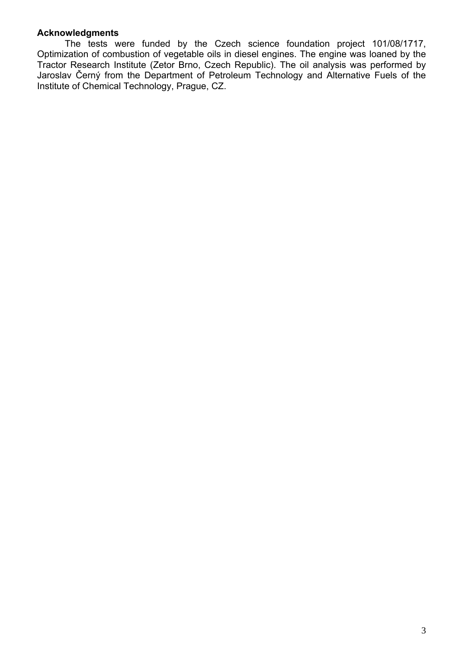### **Acknowledgments**

The tests were funded by the Czech science foundation project 101/08/1717, Optimization of combustion of vegetable oils in diesel engines. The engine was loaned by the Tractor Research Institute (Zetor Brno, Czech Republic). The oil analysis was performed by Jaroslav Černý from the Department of Petroleum Technology and Alternative Fuels of the Institute of Chemical Technology, Prague, CZ.